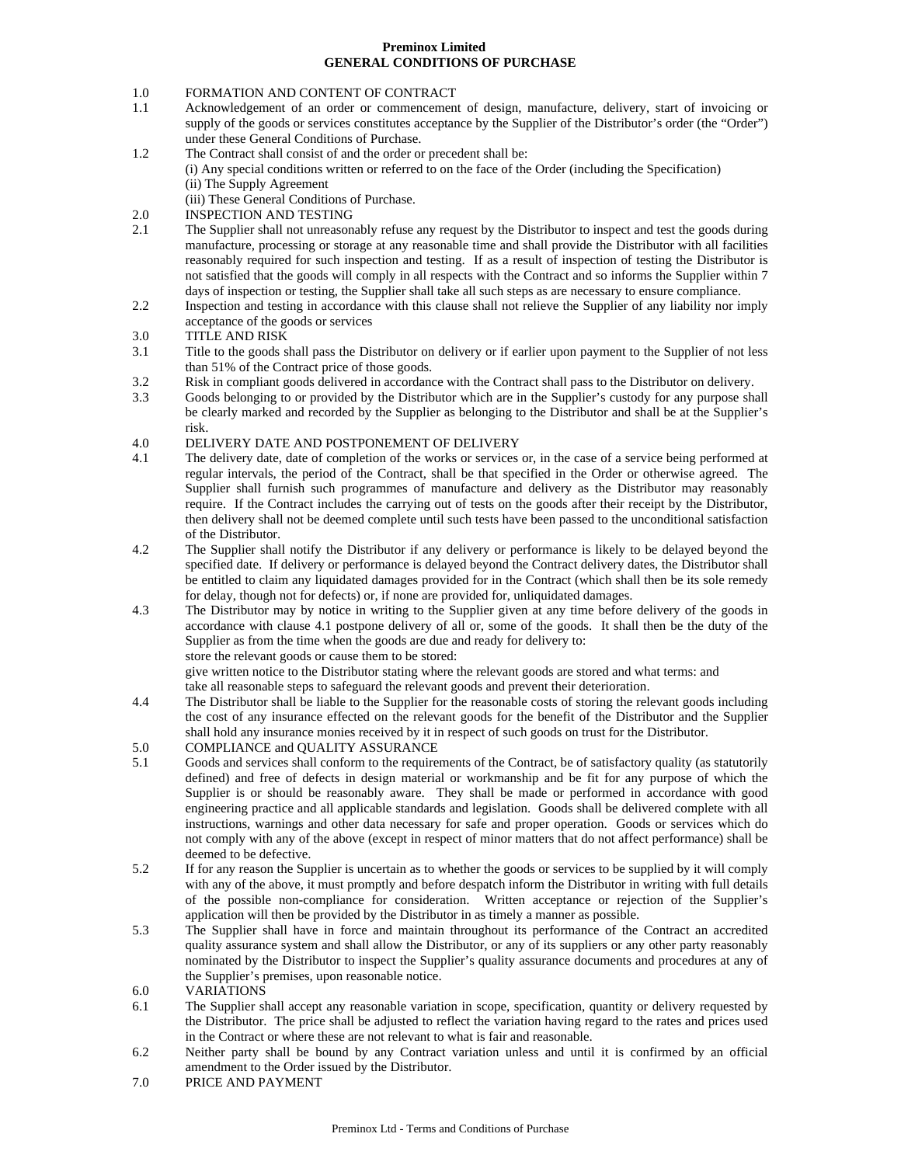## **Preminox Limited GENERAL CONDITIONS OF PURCHASE**

# 1.0 FORMATION AND CONTENT OF CONTRACT

- 1.1 Acknowledgement of an order or commencement of design, manufacture, delivery, start of invoicing or supply of the goods or services constitutes acceptance by the Supplier of the Distributor's order (the "Order") under these General Conditions of Purchase.
- 1.2 The Contract shall consist of and the order or precedent shall be: (i) Any special conditions written or referred to on the face of the Order (including the Specification) (ii) The Supply Agreement

(iii) These General Conditions of Purchase.

- 2.0 INSPECTION AND TESTING
- 2.1 The Supplier shall not unreasonably refuse any request by the Distributor to inspect and test the goods during manufacture, processing or storage at any reasonable time and shall provide the Distributor with all facilities reasonably required for such inspection and testing. If as a result of inspection of testing the Distributor is not satisfied that the goods will comply in all respects with the Contract and so informs the Supplier within 7 days of inspection or testing, the Supplier shall take all such steps as are necessary to ensure compliance.
- 2.2 Inspection and testing in accordance with this clause shall not relieve the Supplier of any liability nor imply acceptance of the goods or services
- 3.0 TITLE AND RISK
- 3.1 Title to the goods shall pass the Distributor on delivery or if earlier upon payment to the Supplier of not less than 51% of the Contract price of those goods.
- 3.2 Risk in compliant goods delivered in accordance with the Contract shall pass to the Distributor on delivery.
- 3.3 Goods belonging to or provided by the Distributor which are in the Supplier's custody for any purpose shall be clearly marked and recorded by the Supplier as belonging to the Distributor and shall be at the Supplier's risk.
- 4.0 DELIVERY DATE AND POSTPONEMENT OF DELIVERY
- 4.1 The delivery date, date of completion of the works or services or, in the case of a service being performed at regular intervals, the period of the Contract, shall be that specified in the Order or otherwise agreed. The Supplier shall furnish such programmes of manufacture and delivery as the Distributor may reasonably require. If the Contract includes the carrying out of tests on the goods after their receipt by the Distributor, then delivery shall not be deemed complete until such tests have been passed to the unconditional satisfaction of the Distributor.
- 4.2 The Supplier shall notify the Distributor if any delivery or performance is likely to be delayed beyond the specified date. If delivery or performance is delayed beyond the Contract delivery dates, the Distributor shall be entitled to claim any liquidated damages provided for in the Contract (which shall then be its sole remedy for delay, though not for defects) or, if none are provided for, unliquidated damages.
- 4.3 The Distributor may by notice in writing to the Supplier given at any time before delivery of the goods in accordance with clause 4.1 postpone delivery of all or, some of the goods. It shall then be the duty of the Supplier as from the time when the goods are due and ready for delivery to: store the relevant goods or cause them to be stored:

give written notice to the Distributor stating where the relevant goods are stored and what terms: and take all reasonable steps to safeguard the relevant goods and prevent their deterioration.

- 4.4 The Distributor shall be liable to the Supplier for the reasonable costs of storing the relevant goods including the cost of any insurance effected on the relevant goods for the benefit of the Distributor and the Supplier shall hold any insurance monies received by it in respect of such goods on trust for the Distributor.
- 5.0 COMPLIANCE and QUALITY ASSURANCE
- 5.1 Goods and services shall conform to the requirements of the Contract, be of satisfactory quality (as statutorily defined) and free of defects in design material or workmanship and be fit for any purpose of which the Supplier is or should be reasonably aware. They shall be made or performed in accordance with good engineering practice and all applicable standards and legislation. Goods shall be delivered complete with all instructions, warnings and other data necessary for safe and proper operation. Goods or services which do not comply with any of the above (except in respect of minor matters that do not affect performance) shall be deemed to be defective.
- 5.2 If for any reason the Supplier is uncertain as to whether the goods or services to be supplied by it will comply with any of the above, it must promptly and before despatch inform the Distributor in writing with full details of the possible non-compliance for consideration. Written acceptance or rejection of the Supplier's application will then be provided by the Distributor in as timely a manner as possible.
- 5.3 The Supplier shall have in force and maintain throughout its performance of the Contract an accredited quality assurance system and shall allow the Distributor, or any of its suppliers or any other party reasonably nominated by the Distributor to inspect the Supplier's quality assurance documents and procedures at any of the Supplier's premises, upon reasonable notice.
- 6.0 VARIATIONS
- 6.1 The Supplier shall accept any reasonable variation in scope, specification, quantity or delivery requested by the Distributor. The price shall be adjusted to reflect the variation having regard to the rates and prices used in the Contract or where these are not relevant to what is fair and reasonable.
- 6.2 Neither party shall be bound by any Contract variation unless and until it is confirmed by an official amendment to the Order issued by the Distributor.
- 7.0 PRICE AND PAYMENT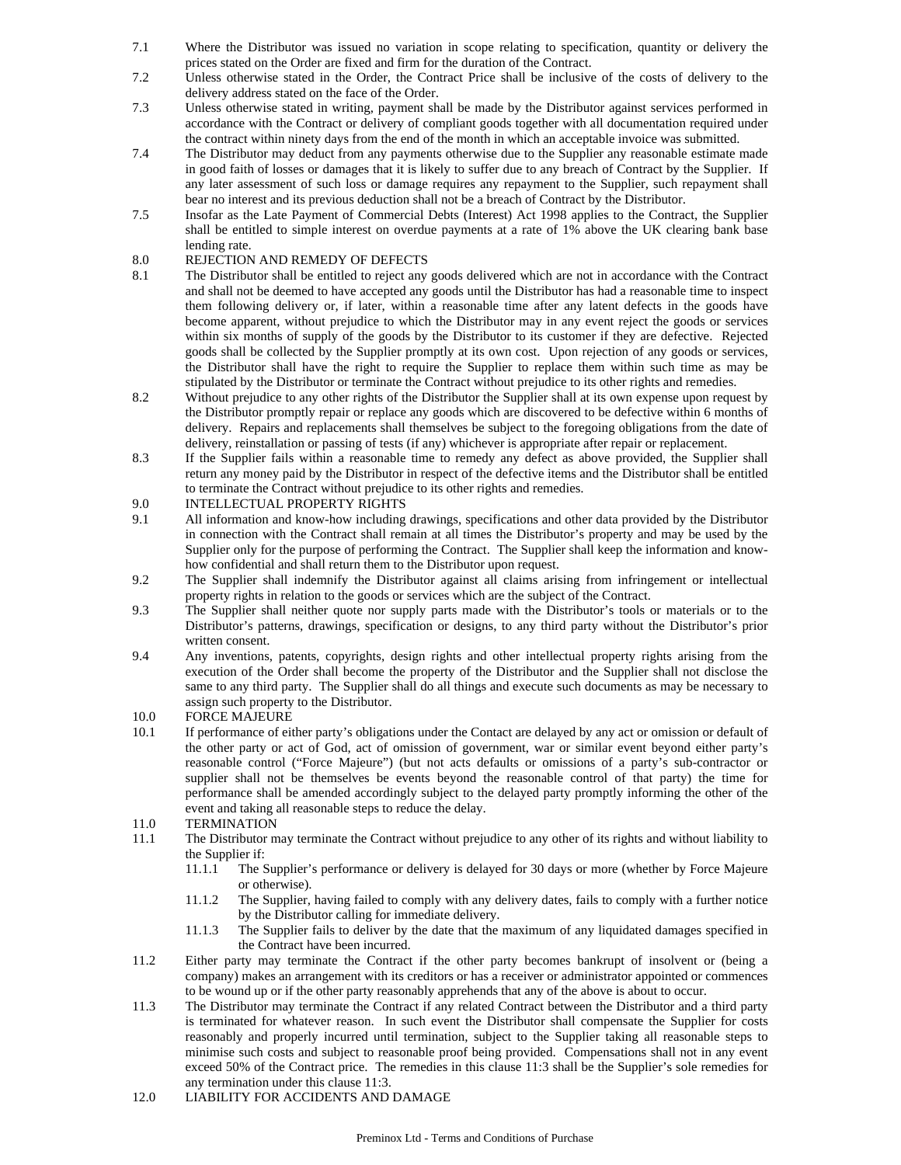- 7.1 Where the Distributor was issued no variation in scope relating to specification, quantity or delivery the prices stated on the Order are fixed and firm for the duration of the Contract.
- 7.2 Unless otherwise stated in the Order, the Contract Price shall be inclusive of the costs of delivery to the delivery address stated on the face of the Order.
- 7.3 Unless otherwise stated in writing, payment shall be made by the Distributor against services performed in accordance with the Contract or delivery of compliant goods together with all documentation required under the contract within ninety days from the end of the month in which an acceptable invoice was submitted.
- 7.4 The Distributor may deduct from any payments otherwise due to the Supplier any reasonable estimate made in good faith of losses or damages that it is likely to suffer due to any breach of Contract by the Supplier. If any later assessment of such loss or damage requires any repayment to the Supplier, such repayment shall bear no interest and its previous deduction shall not be a breach of Contract by the Distributor.
- 7.5 Insofar as the Late Payment of Commercial Debts (Interest) Act 1998 applies to the Contract, the Supplier shall be entitled to simple interest on overdue payments at a rate of 1% above the UK clearing bank base lending rate.
- 8.0 REJECTION AND REMEDY OF DEFECTS
- 8.1 The Distributor shall be entitled to reject any goods delivered which are not in accordance with the Contract and shall not be deemed to have accepted any goods until the Distributor has had a reasonable time to inspect them following delivery or, if later, within a reasonable time after any latent defects in the goods have become apparent, without prejudice to which the Distributor may in any event reject the goods or services within six months of supply of the goods by the Distributor to its customer if they are defective. Rejected goods shall be collected by the Supplier promptly at its own cost. Upon rejection of any goods or services, the Distributor shall have the right to require the Supplier to replace them within such time as may be stipulated by the Distributor or terminate the Contract without prejudice to its other rights and remedies.
- 8.2 Without prejudice to any other rights of the Distributor the Supplier shall at its own expense upon request by the Distributor promptly repair or replace any goods which are discovered to be defective within 6 months of delivery. Repairs and replacements shall themselves be subject to the foregoing obligations from the date of delivery, reinstallation or passing of tests (if any) whichever is appropriate after repair or replacement.
- 8.3 If the Supplier fails within a reasonable time to remedy any defect as above provided, the Supplier shall return any money paid by the Distributor in respect of the defective items and the Distributor shall be entitled to terminate the Contract without prejudice to its other rights and remedies.
- 9.0 INTELLECTUAL PROPERTY RIGHTS
- 9.1 All information and know-how including drawings, specifications and other data provided by the Distributor in connection with the Contract shall remain at all times the Distributor's property and may be used by the Supplier only for the purpose of performing the Contract. The Supplier shall keep the information and knowhow confidential and shall return them to the Distributor upon request.
- 9.2 The Supplier shall indemnify the Distributor against all claims arising from infringement or intellectual property rights in relation to the goods or services which are the subject of the Contract.
- 9.3 The Supplier shall neither quote nor supply parts made with the Distributor's tools or materials or to the Distributor's patterns, drawings, specification or designs, to any third party without the Distributor's prior written consent.
- 9.4 Any inventions, patents, copyrights, design rights and other intellectual property rights arising from the execution of the Order shall become the property of the Distributor and the Supplier shall not disclose the same to any third party. The Supplier shall do all things and execute such documents as may be necessary to assign such property to the Distributor.
- 10.0 FORCE MAJEURE
- 10.1 If performance of either party's obligations under the Contact are delayed by any act or omission or default of the other party or act of God, act of omission of government, war or similar event beyond either party's reasonable control ("Force Majeure") (but not acts defaults or omissions of a party's sub-contractor or supplier shall not be themselves be events beyond the reasonable control of that party) the time for performance shall be amended accordingly subject to the delayed party promptly informing the other of the event and taking all reasonable steps to reduce the delay.
- 11.0 TERMINATION
- 11.1 The Distributor may terminate the Contract without prejudice to any other of its rights and without liability to the Supplier if:
	- 11.1.1 The Supplier's performance or delivery is delayed for 30 days or more (whether by Force Majeure or otherwise).
	- 11.1.2 The Supplier, having failed to comply with any delivery dates, fails to comply with a further notice by the Distributor calling for immediate delivery.
	- 11.1.3 The Supplier fails to deliver by the date that the maximum of any liquidated damages specified in the Contract have been incurred.
- 11.2 Either party may terminate the Contract if the other party becomes bankrupt of insolvent or (being a company) makes an arrangement with its creditors or has a receiver or administrator appointed or commences to be wound up or if the other party reasonably apprehends that any of the above is about to occur.
- 11.3 The Distributor may terminate the Contract if any related Contract between the Distributor and a third party is terminated for whatever reason. In such event the Distributor shall compensate the Supplier for costs reasonably and properly incurred until termination, subject to the Supplier taking all reasonable steps to minimise such costs and subject to reasonable proof being provided. Compensations shall not in any event exceed 50% of the Contract price. The remedies in this clause 11:3 shall be the Supplier's sole remedies for any termination under this clause 11:3.
- 12.0 LIABILITY FOR ACCIDENTS AND DAMAGE